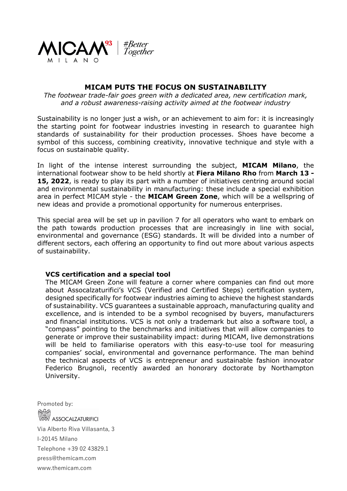

# **MICAM PUTS THE FOCUS ON SUSTAINABILITY**

*The footwear trade-fair goes green with a dedicated area, new certification mark, and a robust awareness-raising activity aimed at the footwear industry*

Sustainability is no longer just a wish, or an achievement to aim for: it is increasingly the starting point for footwear industries investing in research to guarantee high standards of sustainability for their production processes. Shoes have become a symbol of this success, combining creativity, innovative technique and style with a focus on sustainable quality.

In light of the intense interest surrounding the subject, **MICAM Milano**, the international footwear show to be held shortly at **Fiera Milano Rho** from **March 13 - 15, 2022**, is ready to play its part with a number of initiatives centring around social and environmental sustainability in manufacturing: these include a special exhibition area in perfect MICAM style - the **MICAM Green Zone**, which will be a wellspring of new ideas and provide a promotional opportunity for numerous enterprises.

This special area will be set up in pavilion 7 for all operators who want to embark on the path towards production processes that are increasingly in line with social, environmental and governance (ESG) standards. It will be divided into a number of different sectors, each offering an opportunity to find out more about various aspects of sustainability.

### **VCS certification and a special tool**

The MICAM Green Zone will feature a corner where companies can find out more about Assocalzaturifici's VCS (Verified and Certified Steps) certification system, designed specifically for footwear industries aiming to achieve the highest standards of sustainability. VCS guarantees a sustainable approach, manufacturing quality and excellence, and is intended to be a symbol recognised by buyers, manufacturers and financial institutions. VCS is not only a trademark but also a software tool, a "compass" pointing to the benchmarks and initiatives that will allow companies to generate or improve their sustainability impact: during MICAM, live demonstrations will be held to familiarise operators with this easy-to-use tool for measuring companies' social, environmental and governance performance. The man behind the technical aspects of VCS is entrepreneur and sustainable fashion innovator Federico Brugnoli, recently awarded an honorary doctorate by Northampton University.

Promoted by: **ASSOCALZATURIFICI** Via Alberto Riva Villasanta, 3 I-20145 Milano Telephone +39 02 43829.1 press@themicam.com www.themicam.com